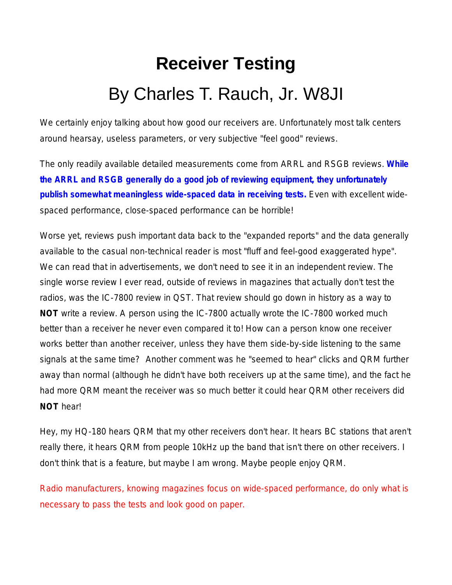# **Receiver Testing** By Charles T. Rauch, Jr. W8JI

We certainly enjoy talking about how good our receivers are. Unfortunately most talk centers around hearsay, useless parameters, or very subjective "feel good" reviews.

The only readily available detailed measurements come from ARRL and RSGB reviews. **While the ARRL and RSGB generally do a good job of reviewing equipment, they unfortunately publish somewhat meaningless wide-spaced data in receiving tests.** Even with excellent widespaced performance, close-spaced performance can be horrible!

Worse yet, reviews push important data back to the "expanded reports" and the data generally available to the casual non-technical reader is most "fluff and feel-good exaggerated hype". We can read that in advertisements, we don't need to see it in an independent review. The single worse review I ever read, outside of reviews in magazines that actually don't test the radios, was the IC-7800 review in QST. That review should go down in history as a way to **NOT** write a review. A person using the IC-7800 actually wrote the IC-7800 worked much better than a receiver he never even compared it to! How can a person know one receiver works better than another receiver, unless they have them side-by-side listening to the same signals at the same time? Another comment was he "seemed to hear" clicks and QRM further away than normal (although he didn't have both receivers up at the same time), and the fact he had more QRM meant the receiver was so much better it could hear QRM other receivers did *NOT* hear!

Hey, my HQ-180 hears QRM that my other receivers don't hear. It hears BC stations that aren't really there, it hears QRM from people 10kHz up the band that isn't there on other receivers. I don't think that is a feature, but maybe I am wrong. Maybe people enjoy QRM.

Radio manufacturers, knowing magazines focus on wide-spaced performance, do only what is necessary to pass the tests and look good on paper.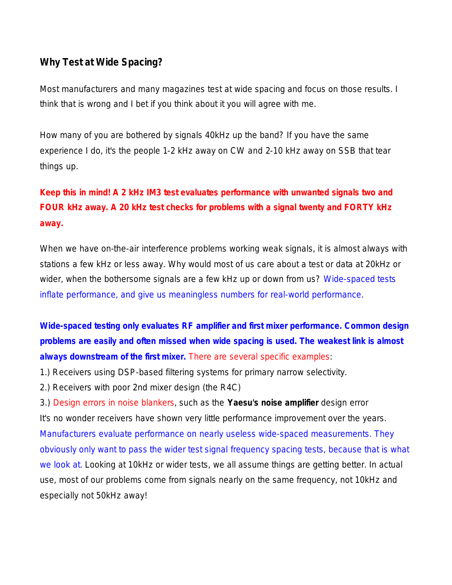### **Why Test at Wide Spacing?**

Most manufacturers and many magazines test at wide spacing and focus on those results. I think that is wrong and I bet if you think about it you will agree with me.

How many of you are bothered by signals 40kHz up the band? If you have the same experience I do, it's the people 1-2 kHz away on CW and 2-10 kHz away on SSB that tear things up.

## **Keep this in mind! A 2 kHz IM3 test evaluates performance with unwanted signals two and FOUR kHz away. A 20 kHz test checks for problems with a signal twenty and FORTY kHz away.**

When we have on-the-air interference problems working weak signals, it is almost always with stations a few kHz or less away. Why would most of us care about a test or data at 20kHz or wider, when the bothersome signals are a few kHz up or down from us? Wide-spaced tests inflate performance, and give us meaningless numbers for real-world performance.

**Wide-spaced testing only evaluates RF amplifier and first mixer performance. Common design problems are easily and often missed when wide spacing is used. The weakest link is almost always downstream of the first mixer.** There are several specific examples:

1.) Receivers using DSP-based filtering systems for primary narrow selectivity.

2.) Receivers with poor 2nd mixer design (the R4C)

3.) Design errors in noise blankers, such as the **Yaesu's noise amplifier** design error It's no wonder receivers have shown very little performance improvement over the years. Manufacturers evaluate performance on nearly useless wide-spaced measurements. They obviously only want to pass the wider test signal frequency spacing tests, because that is what we look at. Looking at 10kHz or wider tests, we all assume things are getting better. In actual use, most of our problems come from signals nearly on the same frequency, not 10kHz and especially not 50kHz away!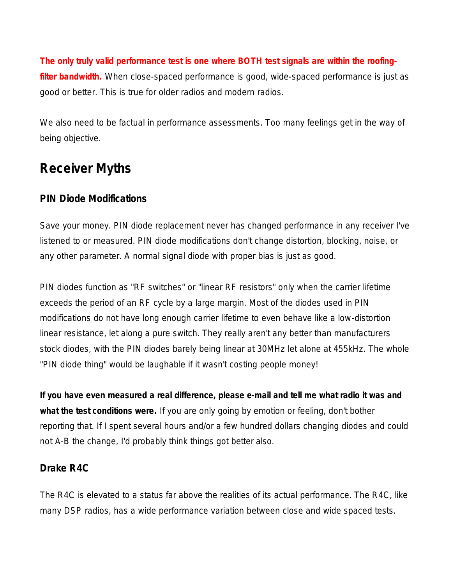**The only truly valid performance test is one where BOTH test signals are within the roofingfilter bandwidth.** When close-spaced performance is good, wide-spaced performance is just as good or better. This is true for older radios and modern radios.

We also need to be factual in performance assessments. Too many feelings get in the way of being objective.

## **Receiver Myths**

### **PIN Diode Modifications**

Save your money. PIN diode replacement never has changed performance in any receiver I've listened to or measured. PIN diode modifications don't change distortion, blocking, noise, or any other parameter. A normal signal diode with proper bias is just as good.

PIN diodes function as "RF switches" or "linear RF resistors" only when the carrier lifetime exceeds the period of an RF cycle by a large margin. Most of the diodes used in PIN modifications do not have long enough carrier lifetime to even behave like a low-distortion linear resistance, let along a pure switch. They really aren't any better than manufacturers stock diodes, with the PIN diodes barely being linear at 30MHz let alone at 455kHz. The whole "PIN diode thing" would be laughable if it wasn't costing people money!

*If you have even measured a real difference, please e-mail and tell me what radio it was and what the test conditions were.* If you are only going by emotion or feeling, don't bother reporting that. If I spent several hours and/or a few hundred dollars changing diodes and could not A-B the change, I'd probably think things got better also.

### **Drake R4C**

The R4C is elevated to a status far above the realities of its actual performance. The R4C, like many DSP radios, has a wide performance variation between close and wide spaced tests.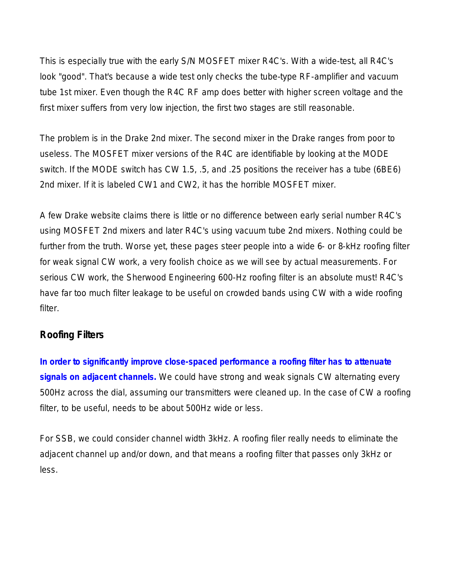This is especially true with the early S/N MOSFET mixer R4C's. With a wide-test, all R4C's look "good". That's because a wide test only checks the tube-type RF-amplifier and vacuum tube 1st mixer. Even though the R4C RF amp does better with higher screen voltage and the first mixer suffers from very low injection, the first two stages are still reasonable.

The problem is in the Drake 2nd mixer. The second mixer in the Drake ranges from poor to useless. The MOSFET mixer versions of the R4C are identifiable by looking at the MODE switch. If the MODE switch has CW 1.5, .5, and .25 positions the receiver has a tube (6BE6) 2nd mixer. If it is labeled CW1 and CW2, it has the horrible MOSFET mixer.

A few Drake website claims there is little or no difference between early serial number R4C's using MOSFET 2nd mixers and later R4C's using vacuum tube 2nd mixers. Nothing could be further from the truth. Worse yet, these pages steer people into a wide 6- or 8-kHz roofing filter for weak signal CW work, a very foolish choice as we will see by actual measurements. For serious CW work, the Sherwood Engineering 600-Hz roofing filter is an absolute must! R4C's have far too much filter leakage to be useful on crowded bands using CW with a wide roofing filter.

### **Roofing Filters**

**In order to significantly improve close-spaced performance a roofing filter has to attenuate signals on** *adjacent* **channels.** We could have strong and weak signals CW alternating every 500Hz across the dial, assuming our transmitters were cleaned up. In the case of CW a roofing filter, to be useful, needs to be about 500Hz wide or less.

For SSB, we could consider channel width 3kHz. A roofing filer really needs to eliminate the adjacent channel up and/or down, and that means a roofing filter that passes only 3kHz or less.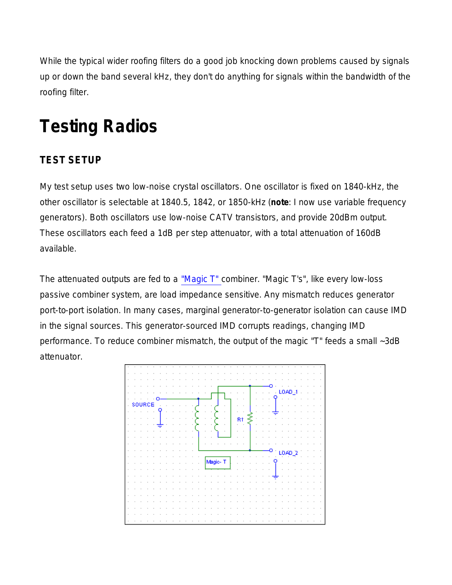While the typical wider roofing filters do a good job knocking down problems caused by signals up or down the band several kHz, they don't do anything for signals within the bandwidth of the roofing filter.

## **Testing Radios**

### **TEST SETUP**

My test setup uses two low-noise crystal oscillators. One oscillator is fixed on 1840-kHz, the other oscillator is selectable at 1840.5, 1842, or 1850-kHz (*note*: I now use variable frequency generators). Both oscillators use low-noise CATV transistors, and provide 20dBm output. These oscillators each feed a 1dB per step attenuator, with a total attenuation of 160dB available.

The attenuated outputs are fed to a "Magic T" combiner. "Magic T's", like every low-loss passive combiner system, are load impedance sensitive. Any mismatch reduces generator port-to-port isolation. In many cases, marginal generator-to-generator isolation can cause IMD in the signal sources. This generator-sourced IMD corrupts readings, changing IMD performance. To reduce combiner mismatch, the output of the magic "T" feeds a small ~3dB attenuator.

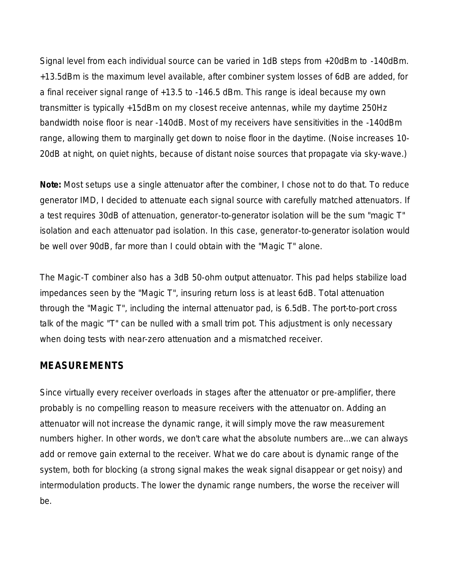Signal level from each individual source can be varied in 1dB steps from +20dBm to -140dBm. +13.5dBm is the maximum level available, after combiner system losses of 6dB are added, for a final receiver signal range of +13.5 to -146.5 dBm. This range is ideal because my own transmitter is typically +15dBm on my closest receive antennas, while my daytime 250Hz bandwidth noise floor is near -140dB. Most of my receivers have sensitivities in the -140dBm range, allowing them to marginally get down to noise floor in the daytime. (Noise increases 10- 20dB at night, on quiet nights, because of distant noise sources that propagate via sky-wave.)

**Note:** *Most setups use a single attenuator after the combiner, I chose not to do that. To reduce generator IMD, I decided to attenuate each signal source with carefully matched attenuators. If a test requires 30dB of attenuation, generator-to-generator isolation will be the sum "magic T" isolation and each attenuator pad isolation. In this case, generator-to-generator isolation would be well over 90dB, far more than I could obtain with the "Magic T" alone.*

*The Magic-T combiner also has a 3dB 50-ohm output attenuator. This pad helps stabilize load impedances seen by the "Magic T", insuring return loss is at least 6dB. Total attenuation through the "Magic T", including the internal attenuator pad, is 6.5dB. The port-to-port cross talk of the magic "T" can be nulled with a small trim pot. This adjustment is only necessary when doing tests with near-zero attenuation and a mismatched receiver.*

### **MEASUREMENTS**

Since virtually every receiver overloads in stages after the attenuator or pre-amplifier, there probably is no compelling reason to measure receivers with the attenuator on. Adding an attenuator will not increase the dynamic range, it will simply move the raw measurement numbers higher. In other words, we don't care what the absolute numbers are...we can always add or remove gain external to the receiver. What we do care about is *dynamic range* of the system, both for blocking (a strong signal makes the weak signal disappear or get noisy) and intermodulation products. The lower the dynamic range numbers, the worse the receiver will be.